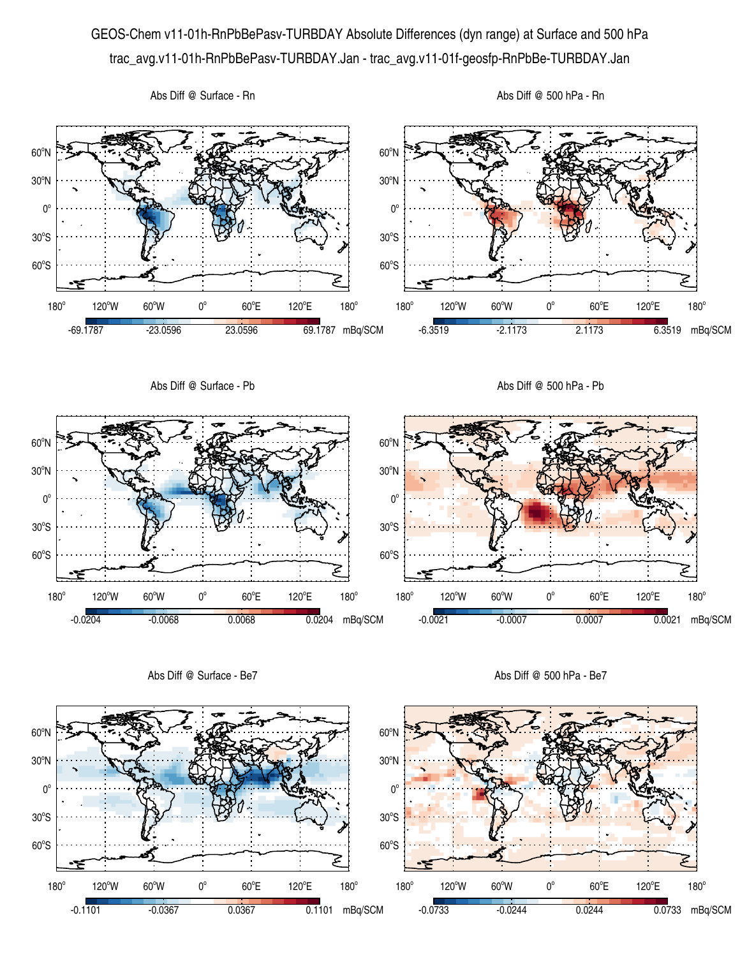## GEOS-Chem v11-01h-RnPbBePasv-TURBDAY Absolute Differences (dyn range) at Surface and 500 hPa trac\_avg.v11-01h-RnPbBePasv-TURBDAY.Jan - trac\_avg.v11-01f-geosfp-RnPbBe-TURBDAY.Jan



Abs Diff @ Surface - Be7

Abs Diff @ 500 hPa - Be7